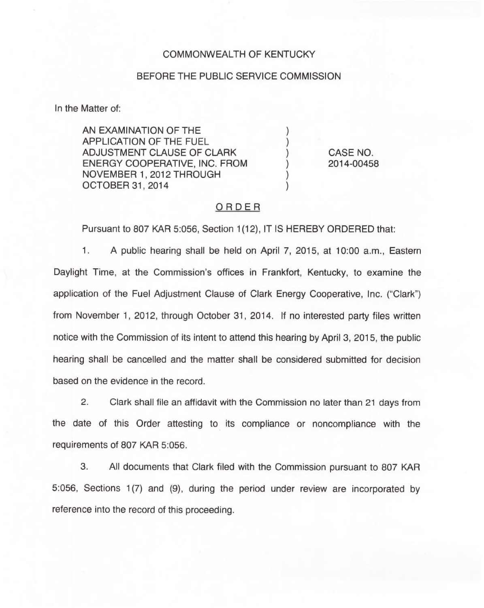### COMMONWEALTH OF KENTUCKY

#### BEFORE THE PUBLIC SERVICE COMMISSION

In the Matter of:

AN EXAMINATION OF THE APPLICATION OF THE FUEL ADJUSTMENT CLAUSE OF CLARK ENERGY COOPERATIVE, INC. FROM NOVEMBER 1, 2012 THROUGH OCTOBER 31, 2014

CASE NO. 2014-00458

## ORDER

 $\mathcal{E}$ 

Pursuant to 807 KAR 5:056, Section 1(12), IT IS HEREBY ORDERED that:

1. A public hearing shall be held on April 7, 2015, at 10:00 a.m., Eastern Daylight Time, at the Commission's offices in Frankfort, Kentucky, to examine the application of the Fuel Adjustment Clause of Clark Energy Cooperative, Inc. ("Clark" ) from November 1, 2012, through October 31, 2014. If no interested party files written notice with the Commission of its intent to attend this hearing by April 3, 2015, the public hearing shall be cancelled and the matter shall be considered submitted for decision based on the evidence in the record.

2. Clark shall file an affidavit with the Commission no later than 21 days from the date of this Order attesting to its compliance or noncompliance with the requirements of 807 KAR 5:056.

3. All documents that Clark filed with the Commission pursuant to 807 KAR 5:056, Sections 1(7) and (9), during the period under review are incorporated by reference into the record of this proceeding.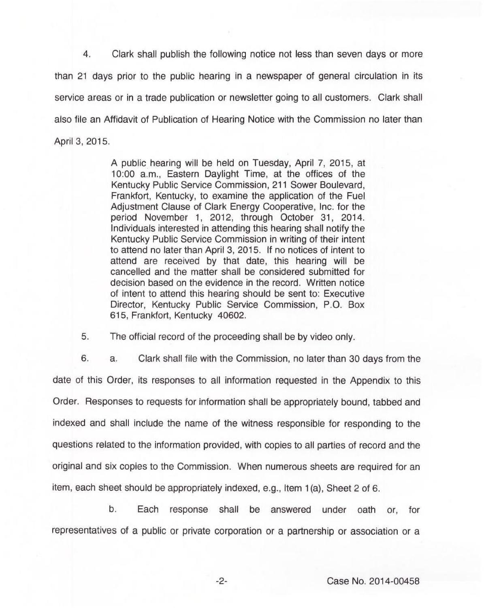4. Clark shall publish the following notice not less than seven days or more than 21 days prior to the public hearing in a newspaper of general circulation in its service areas or in a trade publication or newsletter going to all customers. Clark shall also file an Affidavit of Publication of Hearing Notice with the Commission no later than April 3, 2015.

> A public hearing will be held on Tuesday, April 7, 2015, at 10:00 a.m., Eastern Daylight Time, at the offices of the Kentucky Public Service Commission, 211 Sower Boulevard, Frankfort, Kentucky, to examine the application of the Fuel Adjustment Clause of Clark Energy Cooperative, Inc. for the period November 1, 2012, through October 31, 2014. Individuals interested in attending this hearing shall notify the Kentucky Public Service Commission in writing of their intent to attend no later than April 3, 2015. If no notices of intent to attend are received by that date, this hearing will be cancelled and the matter shall be considered submitted for decision based on the evidence in the record. Written notice of intent to attend this hearing should be sent to: Executive Director, Kentucky Public Service Commission, P.O. Box 615, Frankfort, Kentucky 40602.

5. The official record of the proceeding shall be by video only.

6. a. Clark shall file with the Commission, no later than 30 days from the date of this Order, its responses to all information requested in the Appendix to this Order. Responses to requests for information shall be appropriately bound, tabbed and indexed and shall include the name of the witness responsible for responding to the questions related to the information provided, with copies to all parties of record and the original and six copies to the Commission. When numerous sheets are required for an item, each sheet should be appropriately indexed, e.g., Item 1(a), Sheet 2 of 6.

b. Each response shall be answered under oath or, for representatives of a public or private corporation or a partnership or association or a

 $-2-$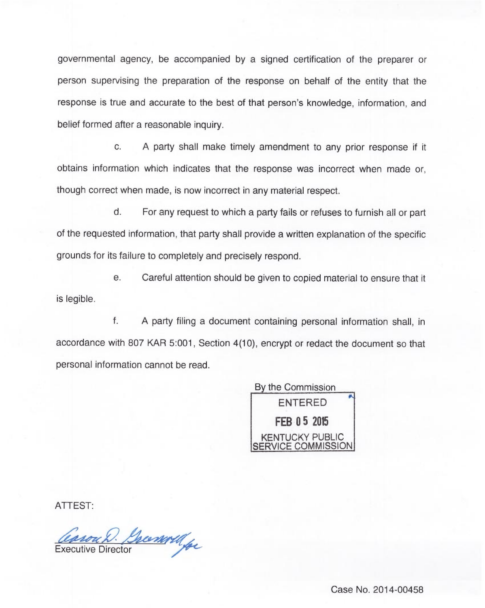governmental agency, be accompanied by a signed certification of the preparer or person supervising the preparation of the response on behalf of the entity that the response is true and accurate to the best of that person's knowledge, information, and belief formed after a reasonable inquiry.

c. <sup>A</sup> party shall make timely amendment to any prior response if it obtains information which indicates that the response was incorrect when made or, though correct when made, is now incorrect in any material respect.

 $d.$ For any request to which a party fails or refuses to furnish all or part of the requested information, that party shall provide a written explanation of the specific grounds for its failure to completely and precisely respond.

e. Careful attention should be given to copied material to ensure that it is legible.

f. A party filing a document containing personal information shall, in accordance with 807 KAR 5:001, Section 4(10), encrypt or redact the document so that personal information cannot be read.



ATTEST:

Casou D. Grammy

Case No. 2014-00458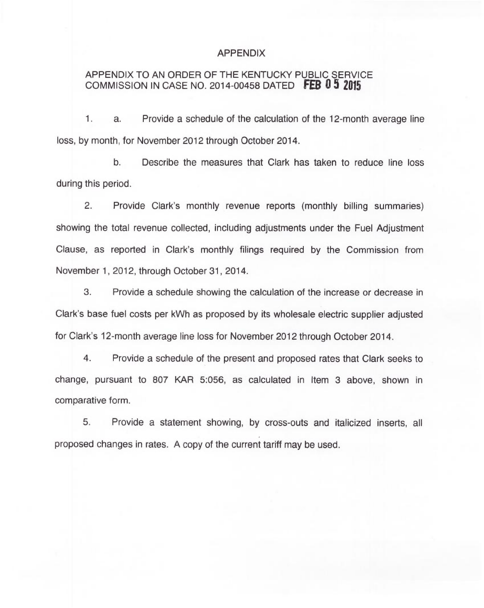#### APPENDIX

# APPENDIX TO AN ORDER OF THE KENTUCKY PUBLIC SERVICE COMMISSION IN CASE NO. 2014-00458 DATED FEB  $0.5$  2015

1. a. Provide a schedule of the calculation of the 12-month average line loss, by month, for November 2012 through October 2014.

b. Describe the measures that Clark has taken to reduce line loss during this period.

2. Provide Clark's monthly revenue reports (monthly billing summaries) showing the total revenue collected, including adjustments under the Fuel Adjustment Clause, as reported in Clark's monthly filings required by the Commission from November 1, 2012, through October 31, 2014.

3. Provide a schedule showing the calculation of the increase or decrease in Clark's base fuel costs per kWh as proposed by its wholesale electric supplier adjusted for Clark's 12-month average line loss for November 2012 through October 2014.

4. Provide a schedule of the present and proposed rates that Clark seeks to change, pursuant to 807 KAR 5:056, as calculated in Item 3 above, shown in comparative form.

5. Provide a statement showing, by cross-outs and italicized inserts, all proposed changes in rates. A copy of the current tariff may be used.